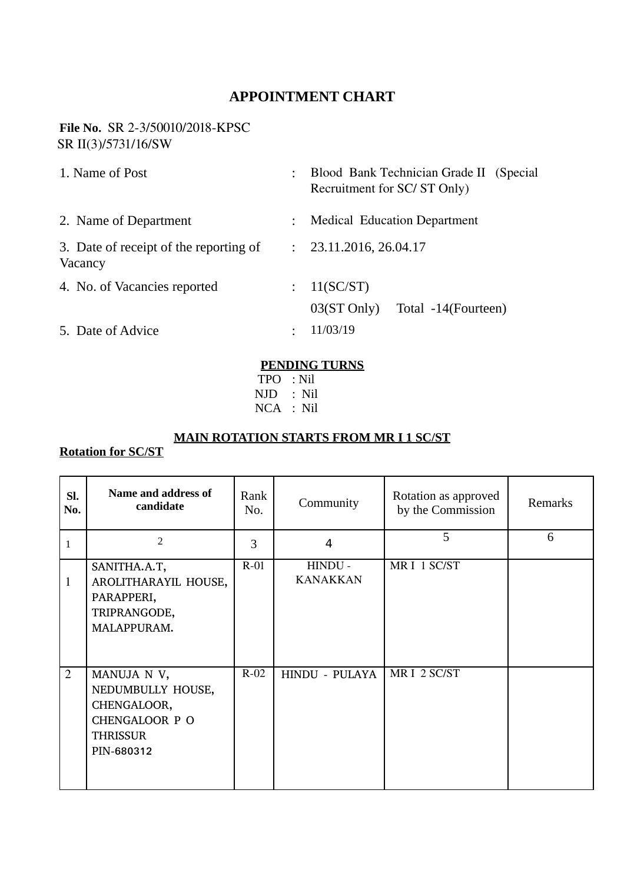## **APPOINTMENT CHART**

#### **File No. SR 2-3/50010/2018-KPSC** SR II(3)/5731/16/SW

| 1. Name of Post                                   |               | Blood Bank Technician Grade II (Special<br>Recruitment for SC/ST Only) |
|---------------------------------------------------|---------------|------------------------------------------------------------------------|
| 2. Name of Department                             |               | <b>Medical Education Department</b>                                    |
| 3. Date of receipt of the reporting of<br>Vacancy | $\mathcal{L}$ | 23.11.2016, 26.04.17                                                   |
| 4. No. of Vacancies reported                      |               | 11(SC/ST)                                                              |
|                                                   |               | Total -14(Fourteen)<br>$03(ST \text{ Only})$                           |
| 5. Date of Advice                                 |               | 11/03/19                                                               |

#### **PENDING TURNS**

 TPO : Nil NJD : Nil NCA : Nil

### **MAIN ROTATION STARTS FROM MR I 1 SC/ST**

# **Rotation for SC/ST**

| SI.<br>No. | Name and address of<br>candidate                                                                          | Rank<br>No. | Community                  | Rotation as approved<br>by the Commission | Remarks |
|------------|-----------------------------------------------------------------------------------------------------------|-------------|----------------------------|-------------------------------------------|---------|
| 1          | $\overline{2}$                                                                                            | 3           | 4                          | 5                                         | 6       |
| 1          | SANITHA.A.T,<br>AROLITHARAYIL HOUSE,<br>PARAPPERI,<br>TRIPRANGODE,<br>MALAPPURAM.                         | $R-01$      | HINDU -<br><b>KANAKKAN</b> | MRI 1 SC/ST                               |         |
| 2          | MANUJA N V,<br>NEDUMBULLY HOUSE,<br>CHENGALOOR,<br><b>CHENGALOOR P O</b><br><b>THRISSUR</b><br>PIN-680312 | $R-02$      | HINDU - PULAYA             | MRI 2 SC/ST                               |         |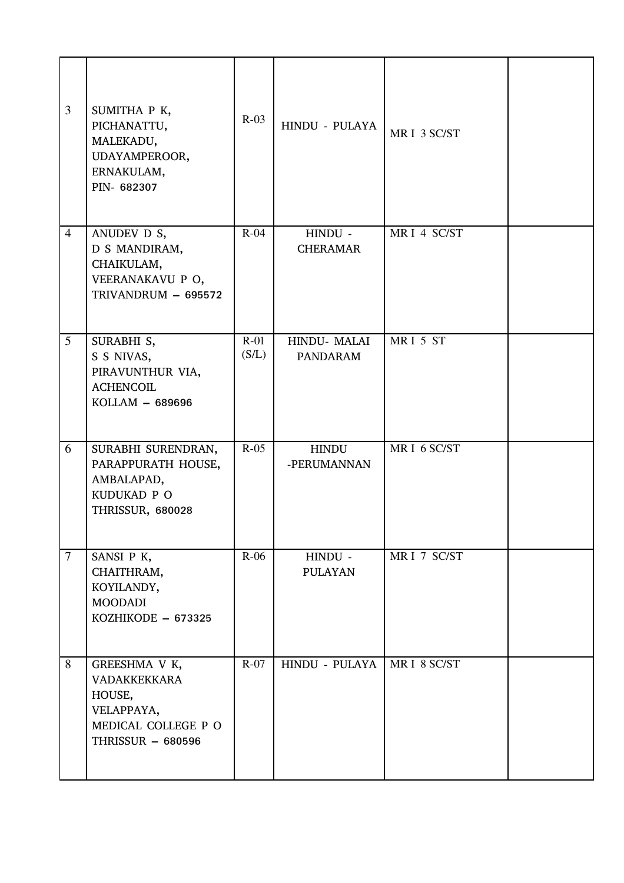| 3               | SUMITHA P K,<br>PICHANATTU,<br>MALEKADU,<br>UDAYAMPEROOR,<br>ERNAKULAM,<br>PIN-682307                           | $R-03$          | HINDU - PULAYA                 | MRI 3 SC/ST |  |
|-----------------|-----------------------------------------------------------------------------------------------------------------|-----------------|--------------------------------|-------------|--|
| $\overline{4}$  | ANUDEV D S,<br>D S MANDIRAM,<br>CHAIKULAM,<br>VEERANAKAVU P O,<br>TRIVANDRUM - 695572                           | $R-04$          | HINDU -<br><b>CHERAMAR</b>     | MRI 4 SC/ST |  |
| $5\overline{)}$ | SURABHI S,<br>S S NIVAS,<br>PIRAVUNTHUR VIA,<br><b>ACHENCOIL</b><br>KOLLAM - 689696                             | $R-01$<br>(S/L) | HINDU-MALAI<br><b>PANDARAM</b> | MRI 5 ST    |  |
| 6               | SURABHI SURENDRAN,<br>PARAPPURATH HOUSE,<br>AMBALAPAD,<br>KUDUKAD P O<br>THRISSUR, 680028                       | $R-05$          | <b>HINDU</b><br>-PERUMANNAN    | MRI 6 SC/ST |  |
| $\tau$          | SANSI P K,<br>CHAITHRAM,<br>KOYILANDY,<br><b>MOODADI</b><br>KOZHIKODE - 673325                                  | $R-06$          | HINDU -<br><b>PULAYAN</b>      | MRI 7 SC/ST |  |
| 8               | GREESHMA V K,<br><b>VADAKKEKKARA</b><br>HOUSE,<br>VELAPPAYA,<br>MEDICAL COLLEGE P O<br><b>THRISSUR - 680596</b> | $R-07$          | HINDU - PULAYA                 | MRI 8 SC/ST |  |